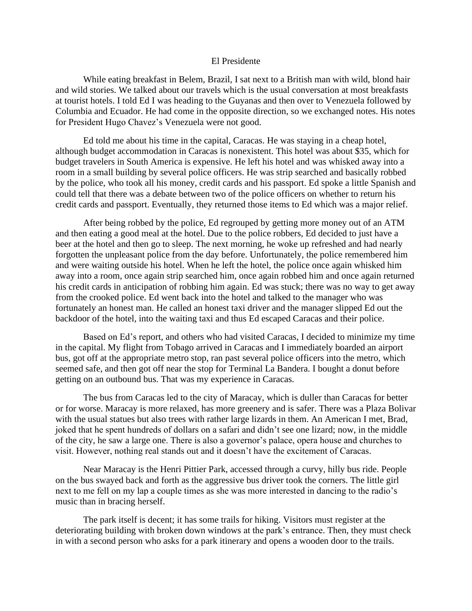## El Presidente

While eating breakfast in Belem, Brazil, I sat next to a British man with wild, blond hair and wild stories. We talked about our travels which is the usual conversation at most breakfasts at tourist hotels. I told Ed I was heading to the Guyanas and then over to Venezuela followed by Columbia and Ecuador. He had come in the opposite direction, so we exchanged notes. His notes for President Hugo Chavez's Venezuela were not good.

Ed told me about his time in the capital, Caracas. He was staying in a cheap hotel, although budget accommodation in Caracas is nonexistent. This hotel was about \$35, which for budget travelers in South America is expensive. He left his hotel and was whisked away into a room in a small building by several police officers. He was strip searched and basically robbed by the police, who took all his money, credit cards and his passport. Ed spoke a little Spanish and could tell that there was a debate between two of the police officers on whether to return his credit cards and passport. Eventually, they returned those items to Ed which was a major relief.

After being robbed by the police, Ed regrouped by getting more money out of an ATM and then eating a good meal at the hotel. Due to the police robbers, Ed decided to just have a beer at the hotel and then go to sleep. The next morning, he woke up refreshed and had nearly forgotten the unpleasant police from the day before. Unfortunately, the police remembered him and were waiting outside his hotel. When he left the hotel, the police once again whisked him away into a room, once again strip searched him, once again robbed him and once again returned his credit cards in anticipation of robbing him again. Ed was stuck; there was no way to get away from the crooked police. Ed went back into the hotel and talked to the manager who was fortunately an honest man. He called an honest taxi driver and the manager slipped Ed out the backdoor of the hotel, into the waiting taxi and thus Ed escaped Caracas and their police.

Based on Ed's report, and others who had visited Caracas, I decided to minimize my time in the capital. My flight from Tobago arrived in Caracas and I immediately boarded an airport bus, got off at the appropriate metro stop, ran past several police officers into the metro, which seemed safe, and then got off near the stop for Terminal La Bandera. I bought a donut before getting on an outbound bus. That was my experience in Caracas.

The bus from Caracas led to the city of Maracay, which is duller than Caracas for better or for worse. Maracay is more relaxed, has more greenery and is safer. There was a Plaza Bolivar with the usual statues but also trees with rather large lizards in them. An American I met, Brad, joked that he spent hundreds of dollars on a safari and didn't see one lizard; now, in the middle of the city, he saw a large one. There is also a governor's palace, opera house and churches to visit. However, nothing real stands out and it doesn't have the excitement of Caracas.

Near Maracay is the Henri Pittier Park, accessed through a curvy, hilly bus ride. People on the bus swayed back and forth as the aggressive bus driver took the corners. The little girl next to me fell on my lap a couple times as she was more interested in dancing to the radio's music than in bracing herself.

The park itself is decent; it has some trails for hiking. Visitors must register at the deteriorating building with broken down windows at the park's entrance. Then, they must check in with a second person who asks for a park itinerary and opens a wooden door to the trails.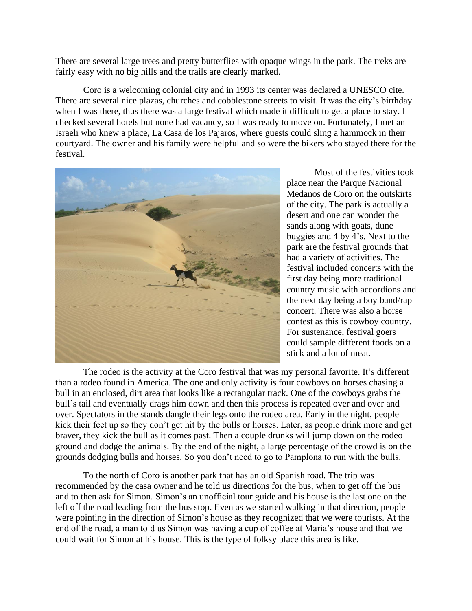There are several large trees and pretty butterflies with opaque wings in the park. The treks are fairly easy with no big hills and the trails are clearly marked.

Coro is a welcoming colonial city and in 1993 its center was declared a UNESCO cite. There are several nice plazas, churches and cobblestone streets to visit. It was the city's birthday when I was there, thus there was a large festival which made it difficult to get a place to stay. I checked several hotels but none had vacancy, so I was ready to move on. Fortunately, I met an Israeli who knew a place, La Casa de los Pajaros, where guests could sling a hammock in their courtyard. The owner and his family were helpful and so were the bikers who stayed there for the festival.



Most of the festivities took place near the Parque Nacional Medanos de Coro on the outskirts of the city. The park is actually a desert and one can wonder the sands along with goats, dune buggies and 4 by 4's. Next to the park are the festival grounds that had a variety of activities. The festival included concerts with the first day being more traditional country music with accordions and the next day being a boy band/rap concert. There was also a horse contest as this is cowboy country. For sustenance, festival goers could sample different foods on a stick and a lot of meat.

The rodeo is the activity at the Coro festival that was my personal favorite. It's different than a rodeo found in America. The one and only activity is four cowboys on horses chasing a bull in an enclosed, dirt area that looks like a rectangular track. One of the cowboys grabs the bull's tail and eventually drags him down and then this process is repeated over and over and over. Spectators in the stands dangle their legs onto the rodeo area. Early in the night, people kick their feet up so they don't get hit by the bulls or horses. Later, as people drink more and get braver, they kick the bull as it comes past. Then a couple drunks will jump down on the rodeo ground and dodge the animals. By the end of the night, a large percentage of the crowd is on the grounds dodging bulls and horses. So you don't need to go to Pamplona to run with the bulls.

To the north of Coro is another park that has an old Spanish road. The trip was recommended by the casa owner and he told us directions for the bus, when to get off the bus and to then ask for Simon. Simon's an unofficial tour guide and his house is the last one on the left off the road leading from the bus stop. Even as we started walking in that direction, people were pointing in the direction of Simon's house as they recognized that we were tourists. At the end of the road, a man told us Simon was having a cup of coffee at Maria's house and that we could wait for Simon at his house. This is the type of folksy place this area is like.